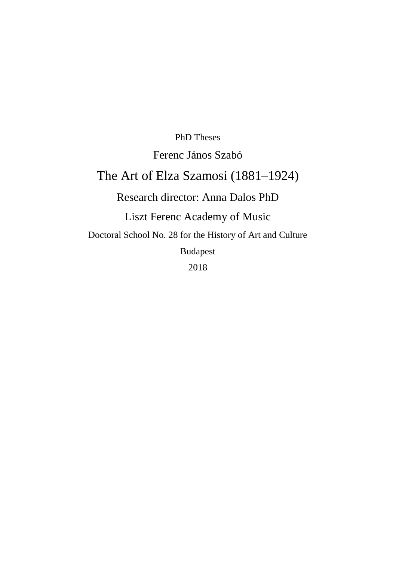PhD Theses Ferenc János Szabó The Art of Elza Szamosi (1881–1924) Research director: Anna Dalos PhD Liszt Ferenc Academy of Music Doctoral School No. 28 for the History of Art and Culture Budapest 2018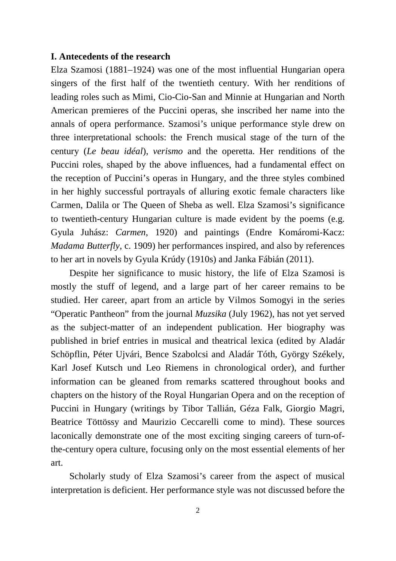### **I. Antecedents of the research**

Elza Szamosi (1881–1924) was one of the most influential Hungarian opera singers of the first half of the twentieth century. With her renditions of leading roles such as Mimi, Cio-Cio-San and Minnie at Hungarian and North American premieres of the Puccini operas, she inscribed her name into the annals of opera performance. Szamosi's unique performance style drew on three interpretational schools: the French musical stage of the turn of the century (*Le beau idéal*), *verismo* and the operetta. Her renditions of the Puccini roles, shaped by the above influences, had a fundamental effect on the reception of Puccini's operas in Hungary, and the three styles combined in her highly successful portrayals of alluring exotic female characters like Carmen, Dalila or The Queen of Sheba as well. Elza Szamosi's significance to twentieth-century Hungarian culture is made evident by the poems (e.g. Gyula Juhász: *Carmen*, 1920) and paintings (Endre Komáromi-Kacz: *Madama Butterfly*, c. 1909) her performances inspired, and also by references to her art in novels by Gyula Krúdy (1910s) and Janka Fábián (2011).

Despite her significance to music history, the life of Elza Szamosi is mostly the stuff of legend, and a large part of her career remains to be studied. Her career, apart from an article by Vilmos Somogyi in the series "Operatic Pantheon" from the journal *Muzsika* (July 1962), has not yet served as the subject-matter of an independent publication. Her biography was published in brief entries in musical and theatrical lexica (edited by Aladár Schöpflin, Péter Ujvári, Bence Szabolcsi and Aladár Tóth, György Székely, Karl Josef Kutsch und Leo Riemens in chronological order), and further information can be gleaned from remarks scattered throughout books and chapters on the history of the Royal Hungarian Opera and on the reception of Puccini in Hungary (writings by Tibor Tallián, Géza Falk, Giorgio Magri, Beatrice Töttössy and Maurizio Ceccarelli come to mind). These sources laconically demonstrate one of the most exciting singing careers of turn-ofthe-century opera culture, focusing only on the most essential elements of her art.

Scholarly study of Elza Szamosi's career from the aspect of musical interpretation is deficient. Her performance style was not discussed before the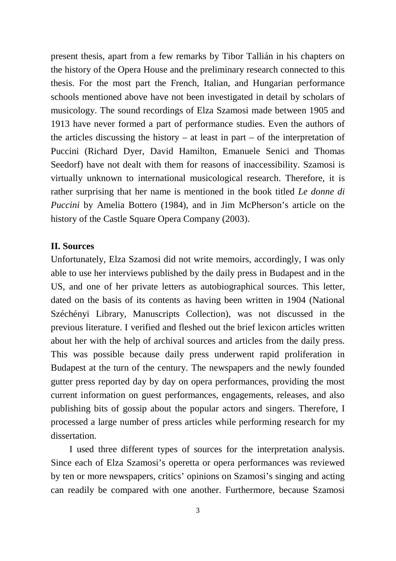present thesis, apart from a few remarks by Tibor Tallián in his chapters on the history of the Opera House and the preliminary research connected to this thesis. For the most part the French, Italian, and Hungarian performance schools mentioned above have not been investigated in detail by scholars of musicology. The sound recordings of Elza Szamosi made between 1905 and 1913 have never formed a part of performance studies. Even the authors of the articles discussing the history – at least in part – of the interpretation of Puccini (Richard Dyer, David Hamilton, Emanuele Senici and Thomas Seedorf) have not dealt with them for reasons of inaccessibility. Szamosi is virtually unknown to international musicological research. Therefore, it is rather surprising that her name is mentioned in the book titled *Le donne di Puccini* by Amelia Bottero (1984), and in Jim McPherson's article on the history of the Castle Square Opera Company (2003).

### **II. Sources**

Unfortunately, Elza Szamosi did not write memoirs, accordingly, I was only able to use her interviews published by the daily press in Budapest and in the US, and one of her private letters as autobiographical sources. This letter, dated on the basis of its contents as having been written in 1904 (National Széchényi Library, Manuscripts Collection), was not discussed in the previous literature. I verified and fleshed out the brief lexicon articles written about her with the help of archival sources and articles from the daily press. This was possible because daily press underwent rapid proliferation in Budapest at the turn of the century. The newspapers and the newly founded gutter press reported day by day on opera performances, providing the most current information on guest performances, engagements, releases, and also publishing bits of gossip about the popular actors and singers. Therefore, I processed a large number of press articles while performing research for my dissertation.

I used three different types of sources for the interpretation analysis. Since each of Elza Szamosi's operetta or opera performances was reviewed by ten or more newspapers, critics' opinions on Szamosi's singing and acting can readily be compared with one another. Furthermore, because Szamosi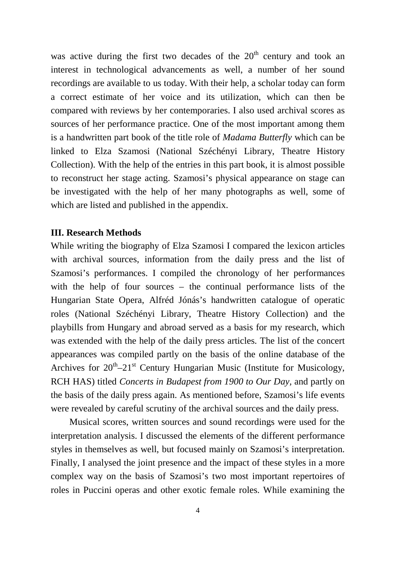was active during the first two decades of the  $20<sup>th</sup>$  century and took an interest in technological advancements as well, a number of her sound recordings are available to us today. With their help, a scholar today can form a correct estimate of her voice and its utilization, which can then be compared with reviews by her contemporaries. I also used archival scores as sources of her performance practice. One of the most important among them is a handwritten part book of the title role of *Madama Butterfly* which can be linked to Elza Szamosi (National Széchényi Library, Theatre History Collection). With the help of the entries in this part book, it is almost possible to reconstruct her stage acting. Szamosi's physical appearance on stage can be investigated with the help of her many photographs as well, some of which are listed and published in the appendix.

### **III. Research Methods**

While writing the biography of Elza Szamosi I compared the lexicon articles with archival sources, information from the daily press and the list of Szamosi's performances. I compiled the chronology of her performances with the help of four sources – the continual performance lists of the Hungarian State Opera, Alfréd Jónás's handwritten catalogue of operatic roles (National Széchényi Library, Theatre History Collection) and the playbills from Hungary and abroad served as a basis for my research, which was extended with the help of the daily press articles. The list of the concert appearances was compiled partly on the basis of the online database of the Archives for  $20^{\text{th}} - 21^{\text{st}}$  Century Hungarian Music (Institute for Musicology, RCH HAS) titled *Concerts in Budapest from 1900 to Our Day,* and partly on the basis of the daily press again. As mentioned before, Szamosi's life events were revealed by careful scrutiny of the archival sources and the daily press.

Musical scores, written sources and sound recordings were used for the interpretation analysis. I discussed the elements of the different performance styles in themselves as well, but focused mainly on Szamosi's interpretation. Finally, I analysed the joint presence and the impact of these styles in a more complex way on the basis of Szamosi's two most important repertoires of roles in Puccini operas and other exotic female roles. While examining the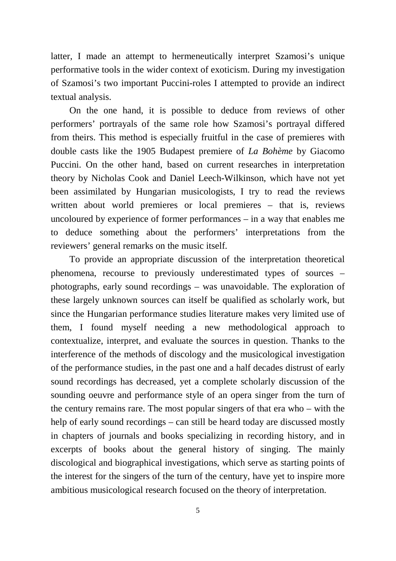latter, I made an attempt to hermeneutically interpret Szamosi's unique performative tools in the wider context of exoticism. During my investigation of Szamosi's two important Puccini-roles I attempted to provide an indirect textual analysis.

On the one hand, it is possible to deduce from reviews of other performers' portrayals of the same role how Szamosi's portrayal differed from theirs. This method is especially fruitful in the case of premieres with double casts like the 1905 Budapest premiere of *La Bohème* by Giacomo Puccini. On the other hand, based on current researches in interpretation theory by Nicholas Cook and Daniel Leech-Wilkinson, which have not yet been assimilated by Hungarian musicologists, I try to read the reviews written about world premieres or local premieres – that is, reviews uncoloured by experience of former performances – in a way that enables me to deduce something about the performers' interpretations from the reviewers' general remarks on the music itself.

To provide an appropriate discussion of the interpretation theoretical phenomena, recourse to previously underestimated types of sources – photographs, early sound recordings – was unavoidable. The exploration of these largely unknown sources can itself be qualified as scholarly work, but since the Hungarian performance studies literature makes very limited use of them, I found myself needing a new methodological approach to contextualize, interpret, and evaluate the sources in question. Thanks to the interference of the methods of discology and the musicological investigation of the performance studies, in the past one and a half decades distrust of early sound recordings has decreased, yet a complete scholarly discussion of the sounding oeuvre and performance style of an opera singer from the turn of the century remains rare. The most popular singers of that era who – with the help of early sound recordings – can still be heard today are discussed mostly in chapters of journals and books specializing in recording history, and in excerpts of books about the general history of singing. The mainly discological and biographical investigations, which serve as starting points of the interest for the singers of the turn of the century, have yet to inspire more ambitious musicological research focused on the theory of interpretation.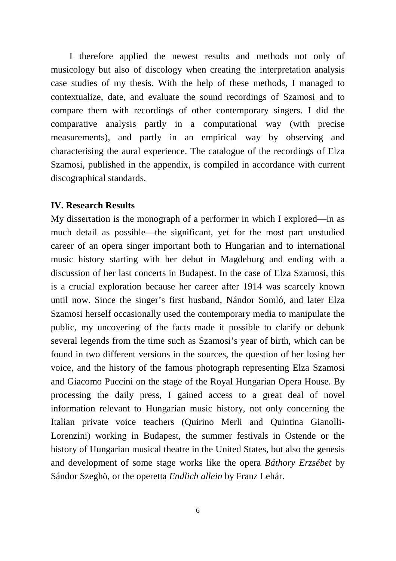I therefore applied the newest results and methods not only of musicology but also of discology when creating the interpretation analysis case studies of my thesis. With the help of these methods, I managed to contextualize, date, and evaluate the sound recordings of Szamosi and to compare them with recordings of other contemporary singers. I did the comparative analysis partly in a computational way (with precise measurements), and partly in an empirical way by observing and characterising the aural experience. The catalogue of the recordings of Elza Szamosi, published in the appendix, is compiled in accordance with current discographical standards.

### **IV. Research Results**

My dissertation is the monograph of a performer in which I explored—in as much detail as possible—the significant, yet for the most part unstudied career of an opera singer important both to Hungarian and to international music history starting with her debut in Magdeburg and ending with a discussion of her last concerts in Budapest. In the case of Elza Szamosi, this is a crucial exploration because her career after 1914 was scarcely known until now. Since the singer's first husband, Nándor Somló, and later Elza Szamosi herself occasionally used the contemporary media to manipulate the public, my uncovering of the facts made it possible to clarify or debunk several legends from the time such as Szamosi's year of birth, which can be found in two different versions in the sources, the question of her losing her voice, and the history of the famous photograph representing Elza Szamosi and Giacomo Puccini on the stage of the Royal Hungarian Opera House. By processing the daily press, I gained access to a great deal of novel information relevant to Hungarian music history, not only concerning the Italian private voice teachers (Quirino Merli and Quintina Gianolli-Lorenzini) working in Budapest, the summer festivals in Ostende or the history of Hungarian musical theatre in the United States, but also the genesis and development of some stage works like the opera *Báthory Erzsébet* by Sándor Szeghő, or the operetta *Endlich allein* by Franz Lehár.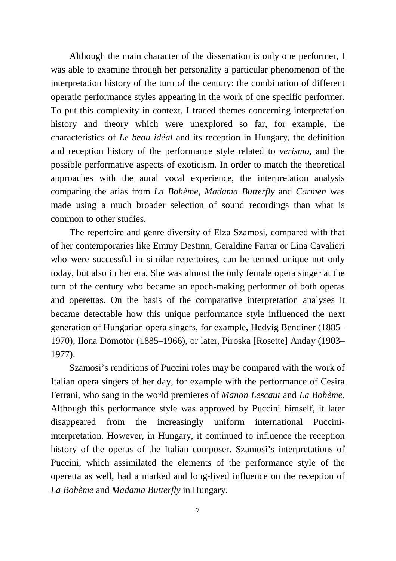Although the main character of the dissertation is only one performer, I was able to examine through her personality a particular phenomenon of the interpretation history of the turn of the century: the combination of different operatic performance styles appearing in the work of one specific performer. To put this complexity in context, I traced themes concerning interpretation history and theory which were unexplored so far, for example, the characteristics of *Le beau idéal* and its reception in Hungary, the definition and reception history of the performance style related to *verismo*, and the possible performative aspects of exoticism. In order to match the theoretical approaches with the aural vocal experience, the interpretation analysis comparing the arias from *La Bohème*, *Madama Butterfly* and *Carmen* was made using a much broader selection of sound recordings than what is common to other studies.

The repertoire and genre diversity of Elza Szamosi, compared with that of her contemporaries like Emmy Destinn, Geraldine Farrar or Lina Cavalieri who were successful in similar repertoires, can be termed unique not only today, but also in her era. She was almost the only female opera singer at the turn of the century who became an epoch-making performer of both operas and operettas. On the basis of the comparative interpretation analyses it became detectable how this unique performance style influenced the next generation of Hungarian opera singers, for example, Hedvig Bendiner (1885– 1970), Ilona Dömötör (1885–1966), or later, Piroska [Rosette] Anday (1903– 1977).

Szamosi's renditions of Puccini roles may be compared with the work of Italian opera singers of her day, for example with the performance of Cesira Ferrani, who sang in the world premieres of *Manon Lescaut* and *La Bohème.*  Although this performance style was approved by Puccini himself, it later disappeared from the increasingly uniform international Pucciniinterpretation. However, in Hungary, it continued to influence the reception history of the operas of the Italian composer. Szamosi's interpretations of Puccini, which assimilated the elements of the performance style of the operetta as well, had a marked and long-lived influence on the reception of *La Bohème* and *Madama Butterfly* in Hungary.